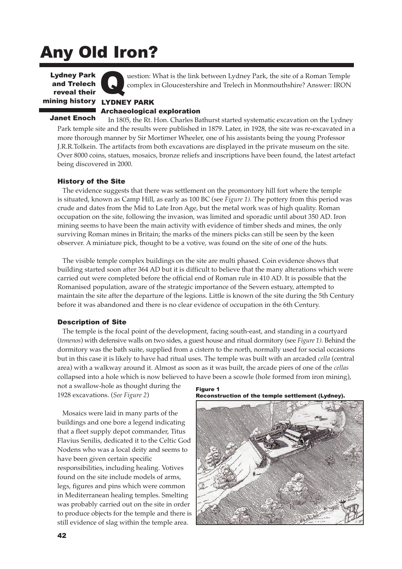# Any Old Iron?

mining history LYDNEY PARK **Lydney Park** and Trelech reveal their



uestion: What is the link between Lydney Park, the site of a Roman Temple complex in Gloucestershire and Trelech in Monmouthshire? Answer: IRON

Archaeological exploration

#### Janet Enoch

In 1805, the Rt. Hon. Charles Bathurst started systematic excavation on the Lydney Park temple site and the results were published in 1879. Later, in 1928, the site was re-excavated in a more thorough manner by Sir Mortimer Wheeler, one of his assistants being the young Professor J.R.R.Tolkein. The artifacts from both excavations are displayed in the private museum on the site. Over 8000 coins, statues, mosaics, bronze reliefs and inscriptions have been found, the latest artefact being discovered in 2000.

## History of the Site

The evidence suggests that there was settlement on the promontory hill fort where the temple is situated, known as Camp Hill, as early as 100 BC (see *Figure 1)*. The pottery from this period was crude and dates from the Mid to Late Iron Age, but the metal work was of high quality. Roman occupation on the site, following the invasion, was limited and sporadic until about 350 AD. Iron mining seems to have been the main activity with evidence of timber sheds and mines, the only surviving Roman mines in Britain; the marks of the miners picks can still be seen by the keen observer. A miniature pick, thought to be a votive, was found on the site of one of the huts.

The visible temple complex buildings on the site are multi phased. Coin evidence shows that building started soon after 364 AD but it is difficult to believe that the many alterations which were carried out were completed before the official end of Roman rule in 410 AD. It is possible that the Romanised population, aware of the strategic importance of the Severn estuary, attempted to maintain the site after the departure of the legions. Little is known of the site during the 5th Century before it was abandoned and there is no clear evidence of occupation in the 6th Century.

#### Description of Site

The temple is the focal point of the development, facing south-east, and standing in a courtyard (*temenos*) with defensive walls on two sides, a guest house and ritual dormitory (see *Figure 1)*. Behind the dormitory was the bath suite, supplied from a cistern to the north, normally used for social occasions but in this case it is likely to have had ritual uses. The temple was built with an arcaded *cella* (central area) with a walkway around it. Almost as soon as it was built, the arcade piers of one of the *cellas* collapsed into a hole which is now believed to have been a scowle (hole formed from iron mining),

not a swallow-hole as thought during the 1928 excavations. (*See Figure 2*)

Mosaics were laid in many parts of the buildings and one bore a legend indicating that a fleet supply depot commander, Titus Flavius Senilis, dedicated it to the Celtic God Nodens who was a local deity and seems to have been given certain specific responsibilities, including healing. Votives found on the site include models of arms, legs, figures and pins which were common in Mediterranean healing temples. Smelting was probably carried out on the site in order to produce objects for the temple and there is still evidence of slag within the temple area.

Figure 1 Reconstruction of the temple settlement (Lydney).

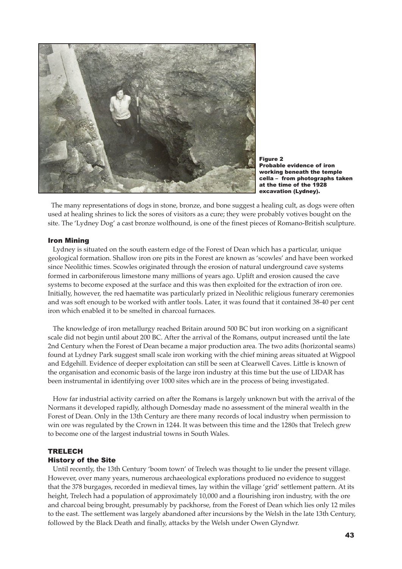

Figure 2 Probable evidence of iron working beneath the temple cella – from photographs taken at the time of the 1928 excavation (Lydney).

The many representations of dogs in stone, bronze, and bone suggest a healing cult, as dogs were often used at healing shrines to lick the sores of visitors as a cure; they were probably votives bought on the site. The 'Lydney Dog' a cast bronze wolfhound, is one of the finest pieces of Romano-British sculpture.

#### Iron Mining

Lydney is situated on the south eastern edge of the Forest of Dean which has a particular, unique geological formation. Shallow iron ore pits in the Forest are known as 'scowles' and have been worked since Neolithic times. Scowles originated through the erosion of natural underground cave systems formed in carboniferous limestone many millions of years ago. Uplift and erosion caused the cave systems to become exposed at the surface and this was then exploited for the extraction of iron ore. Initially, however, the red haematite was particularly prized in Neolithic religious funerary ceremonies and was soft enough to be worked with antler tools. Later, it was found that it contained 38-40 per cent iron which enabled it to be smelted in charcoal furnaces.

The knowledge of iron metallurgy reached Britain around 500 BC but iron working on a significant scale did not begin until about 200 BC. After the arrival of the Romans, output increased until the late 2nd Century when the Forest of Dean became a major production area. The two adits (horizontal seams) found at Lydney Park suggest small scale iron working with the chief mining areas situated at Wigpool and Edgehill. Evidence of deeper exploitation can still be seen at Clearwell Caves. Little is known of the organisation and economic basis of the large iron industry at this time but the use of LIDAR has been instrumental in identifying over 1000 sites which are in the process of being investigated.

How far industrial activity carried on after the Romans is largely unknown but with the arrival of the Normans it developed rapidly, although Domesday made no assessment of the mineral wealth in the Forest of Dean. Only in the 13th Century are there many records of local industry when permission to win ore was regulated by the Crown in 1244. It was between this time and the 1280s that Trelech grew to become one of the largest industrial towns in South Wales.

## **TRELECH** History of the Site

Until recently, the 13th Century 'boom town' of Trelech was thought to lie under the present village. However, over many years, numerous archaeological explorations produced no evidence to suggest that the 378 burgages, recorded in medieval times, lay within the village 'grid' settlement pattern. At its height, Trelech had a population of approximately 10,000 and a flourishing iron industry, with the ore and charcoal being brought, presumably by packhorse, from the Forest of Dean which lies only 12 miles to the east. The settlement was largely abandoned after incursions by the Welsh in the late 13th Century, followed by the Black Death and finally, attacks by the Welsh under Owen Glyndwr.